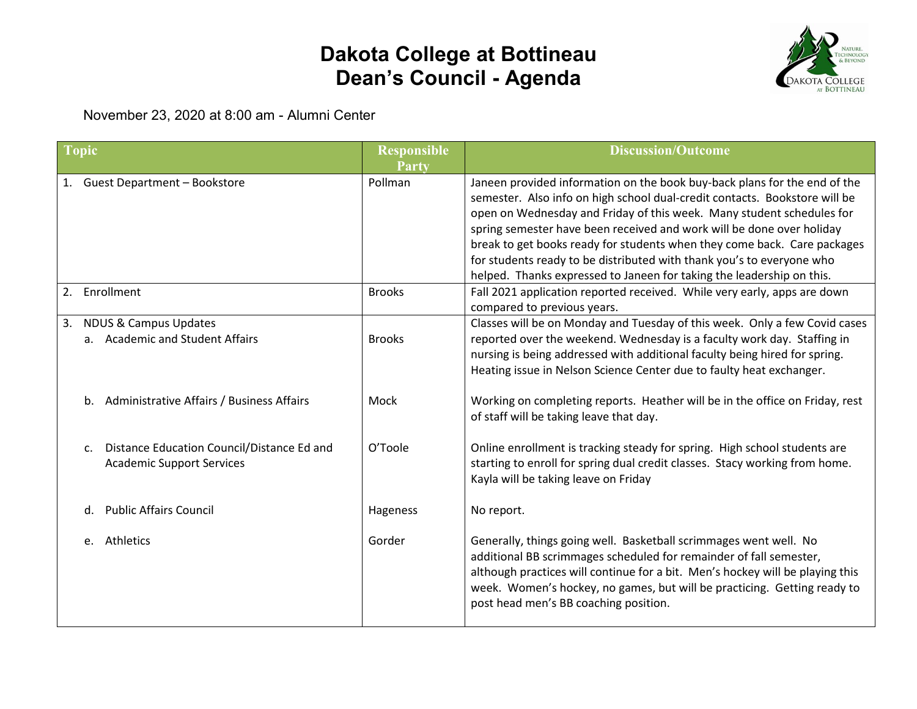## **Dakota College at Bottineau Dean's Council - Agenda**



November 23, 2020 at 8:00 am - Alumni Center

| <b>Topic</b>     |                                                                                | <b>Responsible</b><br><b>Party</b> | <b>Discussion/Outcome</b>                                                                                                                                                                                                                                                                                                                                                                                                                                                                                                               |
|------------------|--------------------------------------------------------------------------------|------------------------------------|-----------------------------------------------------------------------------------------------------------------------------------------------------------------------------------------------------------------------------------------------------------------------------------------------------------------------------------------------------------------------------------------------------------------------------------------------------------------------------------------------------------------------------------------|
|                  | 1. Guest Department - Bookstore                                                | Pollman                            | Janeen provided information on the book buy-back plans for the end of the<br>semester. Also info on high school dual-credit contacts. Bookstore will be<br>open on Wednesday and Friday of this week. Many student schedules for<br>spring semester have been received and work will be done over holiday<br>break to get books ready for students when they come back. Care packages<br>for students ready to be distributed with thank you's to everyone who<br>helped. Thanks expressed to Janeen for taking the leadership on this. |
| Enrollment<br>2. |                                                                                | <b>Brooks</b>                      | Fall 2021 application reported received. While very early, apps are down<br>compared to previous years.                                                                                                                                                                                                                                                                                                                                                                                                                                 |
| 3.               | <b>NDUS &amp; Campus Updates</b><br>a. Academic and Student Affairs            | <b>Brooks</b>                      | Classes will be on Monday and Tuesday of this week. Only a few Covid cases<br>reported over the weekend. Wednesday is a faculty work day. Staffing in<br>nursing is being addressed with additional faculty being hired for spring.<br>Heating issue in Nelson Science Center due to faulty heat exchanger.                                                                                                                                                                                                                             |
|                  | b. Administrative Affairs / Business Affairs                                   | Mock                               | Working on completing reports. Heather will be in the office on Friday, rest<br>of staff will be taking leave that day.                                                                                                                                                                                                                                                                                                                                                                                                                 |
| c.               | Distance Education Council/Distance Ed and<br><b>Academic Support Services</b> | O'Toole                            | Online enrollment is tracking steady for spring. High school students are<br>starting to enroll for spring dual credit classes. Stacy working from home.<br>Kayla will be taking leave on Friday                                                                                                                                                                                                                                                                                                                                        |
| d.               | <b>Public Affairs Council</b>                                                  | Hageness                           | No report.                                                                                                                                                                                                                                                                                                                                                                                                                                                                                                                              |
| e. Athletics     |                                                                                | Gorder                             | Generally, things going well. Basketball scrimmages went well. No<br>additional BB scrimmages scheduled for remainder of fall semester,<br>although practices will continue for a bit. Men's hockey will be playing this<br>week. Women's hockey, no games, but will be practicing. Getting ready to<br>post head men's BB coaching position.                                                                                                                                                                                           |